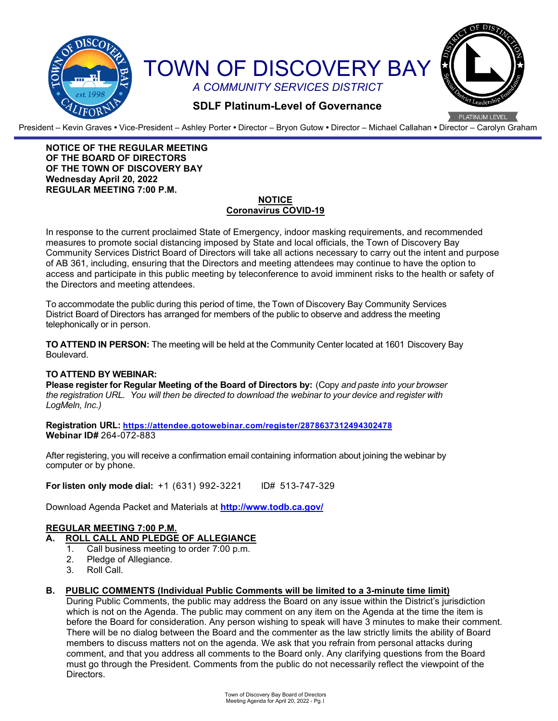

President – Kevin Graves **•** Vice-President – Ashley Porter **•** Director – Bryon Gutow **•** Director – Michael Callahan **•** Director – Carolyn Graham

#### **NOTICE OF THE REGULAR MEETING OF THE BOARD OF DIRECTORS OF THE TOWN OF DISCOVERY BAY Wednesday April 20, 2022 REGULAR MEETING 7:00 P.M.**

# **NOTICE Coronavirus COVID-19**

In response to the current proclaimed State of Emergency, indoor masking requirements, and recommended measures to promote social distancing imposed by State and local officials, the Town of Discovery Bay Community Services District Board of Directors will take all actions necessary to carry out the intent and purpose of AB 361, including, ensuring that the Directors and meeting attendees may continue to have the option to access and participate in this public meeting by teleconference to avoid imminent risks to the health or safety of the Directors and meeting attendees.

To accommodate the public during this period of time, the Town of Discovery Bay Community Services District Board of Directors has arranged for members of the public to observe and address the meeting telephonically or in person.

**TO ATTEND IN PERSON:** The meeting will be held at the Community Center located at 1601 Discovery Bay Boulevard.

## **TO ATTEND BY WEBINAR:**

**Please register for Regular Meeting of the Board of Directors by:** (Copy *and paste into your browser the registration URL. You will then be directed to download the webinar to your device and register with LogMeln, Inc.)*

**Registration URL: <https://attendee.gotowebinar.com/register/2878637312494302478> Webinar ID#** 264-072-883

After registering, you will receive a confirmation email containing information about joining the webinar by computer or by phone.

**For listen only mode dial:** +1 (631) 992-3221 ID# 513-747-329

Download Agenda Packet and Materials at **http:/[/www.todb.ca.gov/](http://www.todb.ca.gov/)** 

#### **REGULAR MEETING 7:00 P.M. A. ROLL CALL AND PLEDGE OF ALLEGIANCE**

- 1. Call business meeting to order 7:00 p.m.
- 2. Pledge of Allegiance.<br>3. Roll Call.
- Roll Call.
- **B. PUBLIC COMMENTS (Individual Public Comments will be limited to a 3-minute time limit)**

During Public Comments, the public may address the Board on any issue within the District's jurisdiction which is not on the Agenda. The public may comment on any item on the Agenda at the time the item is before the Board for consideration. Any person wishing to speak will have 3 minutes to make their comment. There will be no dialog between the Board and the commenter as the law strictly limits the ability of Board members to discuss matters not on the agenda. We ask that you refrain from personal attacks during comment, and that you address all comments to the Board only. Any clarifying questions from the Board must go through the President. Comments from the public do not necessarily reflect the viewpoint of the Directors.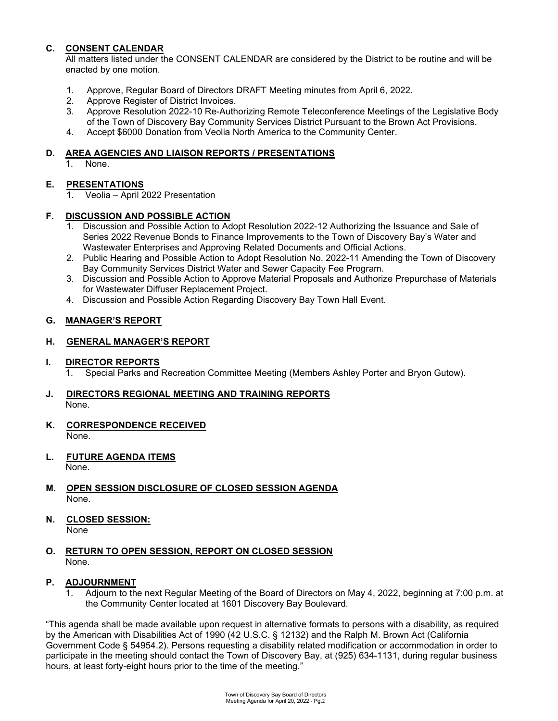# **C. CONSENT CALENDAR**

All matters listed under the CONSENT CALENDAR are considered by the District to be routine and will be enacted by one motion.

- 1. Approve, Regular Board of Directors DRAFT Meeting minutes from April 6, 2022.
- 2. Approve Register of District Invoices.
- 3. Approve Resolution 2022-10 Re-Authorizing Remote Teleconference Meetings of the Legislative Body of the Town of Discovery Bay Community Services District Pursuant to the Brown Act Provisions.
- 4. Accept \$6000 Donation from Veolia North America to the Community Center.

#### **D. AREA AGENCIES AND LIAISON REPORTS / PRESENTATIONS**

1. None.

## **E. PRESENTATIONS**

1. Veolia – April 2022 Presentation

## **F. DISCUSSION AND POSSIBLE ACTION**

- 1. Discussion and Possible Action to Adopt Resolution 2022-12 Authorizing the Issuance and Sale of Series 2022 Revenue Bonds to Finance Improvements to the Town of Discovery Bay's Water and Wastewater Enterprises and Approving Related Documents and Official Actions.
- 2. Public Hearing and Possible Action to Adopt Resolution No. 2022-11 Amending the Town of Discovery Bay Community Services District Water and Sewer Capacity Fee Program.
- 3. Discussion and Possible Action to Approve Material Proposals and Authorize Prepurchase of Materials for Wastewater Diffuser Replacement Project.
- 4. Discussion and Possible Action Regarding Discovery Bay Town Hall Event.

## **G. MANAGER'S REPORT**

#### **H. GENERAL MANAGER'S REPORT**

# **I.** DIRECTOR REPORTS<br>1. Special Parks and

1. Special Parks and Recreation Committee Meeting (Members Ashley Porter and Bryon Gutow).

## **J. DIRECTORS REGIONAL MEETING AND TRAINING REPORTS** None.

- **K. CORRESPONDENCE RECEIVED** None.
- **L. FUTURE AGENDA ITEMS** None.
- 
- **M. OPEN SESSION DISCLOSURE OF CLOSED SESSION AGENDA** None.
- **N. CLOSED SESSION:** None
- **O. RETURN TO OPEN SESSION, REPORT ON CLOSED SESSION** None.

## **P. ADJOURNMENT**

Adjourn to the next Regular Meeting of the Board of Directors on May 4, 2022, beginning at 7:00 p.m. at the Community Center located at 1601 Discovery Bay Boulevard.

"This agenda shall be made available upon request in alternative formats to persons with a disability, as required by the American with Disabilities Act of 1990 (42 U.S.C. § 12132) and the Ralph M. Brown Act (California Government Code § 54954.2). Persons requesting a disability related modification or accommodation in order to participate in the meeting should contact the Town of Discovery Bay, at (925) 634-1131, during regular business hours, at least forty-eight hours prior to the time of the meeting."